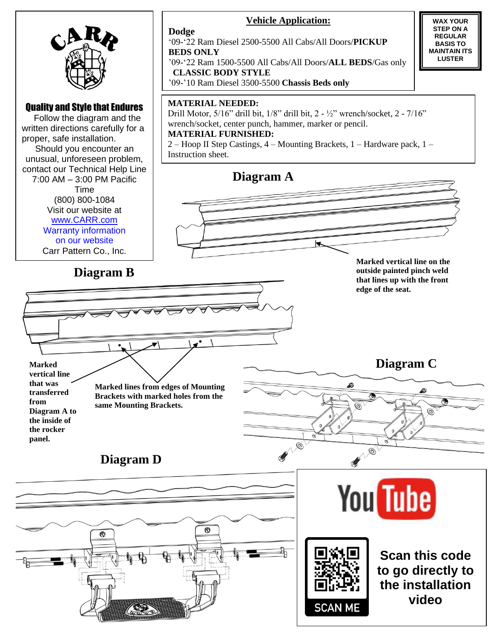